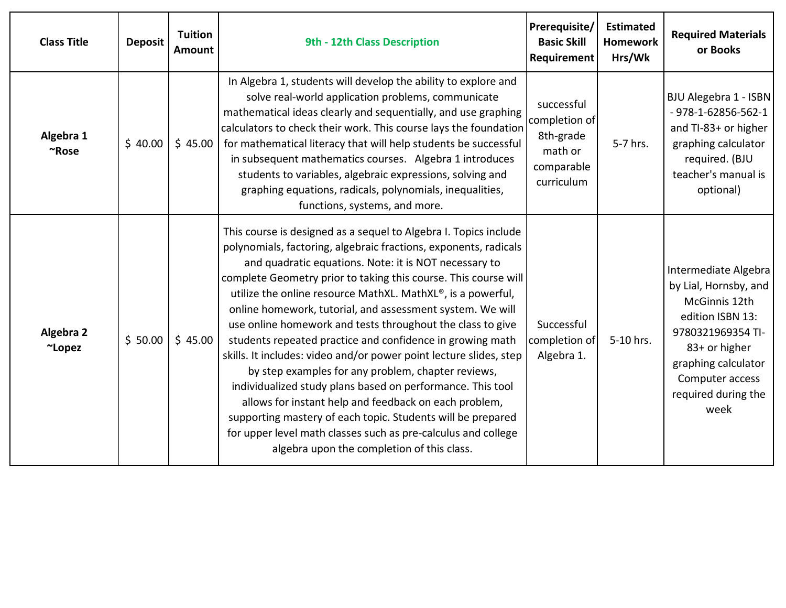| <b>Class Title</b>  | <b>Deposit</b> | <b>Tuition</b><br>Amount | 9th - 12th Class Description                                                                                                                                                                                                                                                                                                                                                                                                                                                                                                                                                                                                                                                                                                                                                                                                                                                                                                                             | Prerequisite/<br><b>Basic Skill</b><br>Requirement                              | <b>Estimated</b><br><b>Homework</b><br>Hrs/Wk | <b>Required Materials</b><br>or Books                                                                                                                                                             |
|---------------------|----------------|--------------------------|----------------------------------------------------------------------------------------------------------------------------------------------------------------------------------------------------------------------------------------------------------------------------------------------------------------------------------------------------------------------------------------------------------------------------------------------------------------------------------------------------------------------------------------------------------------------------------------------------------------------------------------------------------------------------------------------------------------------------------------------------------------------------------------------------------------------------------------------------------------------------------------------------------------------------------------------------------|---------------------------------------------------------------------------------|-----------------------------------------------|---------------------------------------------------------------------------------------------------------------------------------------------------------------------------------------------------|
| Algebra 1<br>~Rose  | \$40.00        | \$45.00                  | In Algebra 1, students will develop the ability to explore and<br>solve real-world application problems, communicate<br>mathematical ideas clearly and sequentially, and use graphing<br>calculators to check their work. This course lays the foundation<br>for mathematical literacy that will help students be successful<br>in subsequent mathematics courses. Algebra 1 introduces<br>students to variables, algebraic expressions, solving and<br>graphing equations, radicals, polynomials, inequalities,<br>functions, systems, and more.                                                                                                                                                                                                                                                                                                                                                                                                        | successful<br>completion of<br>8th-grade<br>math or<br>comparable<br>curriculum | 5-7 hrs.                                      | BJU Alegebra 1 - ISBN<br>$-978 - 1 - 62856 - 562 - 1$<br>and TI-83+ or higher<br>graphing calculator<br>required. (BJU<br>teacher's manual is<br>optional)                                        |
| Algebra 2<br>~Lopez | \$50.00        | \$45.00                  | This course is designed as a sequel to Algebra I. Topics include<br>polynomials, factoring, algebraic fractions, exponents, radicals<br>and quadratic equations. Note: it is NOT necessary to<br>complete Geometry prior to taking this course. This course will<br>utilize the online resource MathXL. MathXL®, is a powerful,<br>online homework, tutorial, and assessment system. We will<br>use online homework and tests throughout the class to give<br>students repeated practice and confidence in growing math<br>skills. It includes: video and/or power point lecture slides, step<br>by step examples for any problem, chapter reviews,<br>individualized study plans based on performance. This tool<br>allows for instant help and feedback on each problem,<br>supporting mastery of each topic. Students will be prepared<br>for upper level math classes such as pre-calculus and college<br>algebra upon the completion of this class. | Successful<br>completion of<br>Algebra 1.                                       | 5-10 hrs.                                     | Intermediate Algebra<br>by Lial, Hornsby, and<br>McGinnis 12th<br>edition ISBN 13:<br>9780321969354 TI-<br>83+ or higher<br>graphing calculator<br>Computer access<br>required during the<br>week |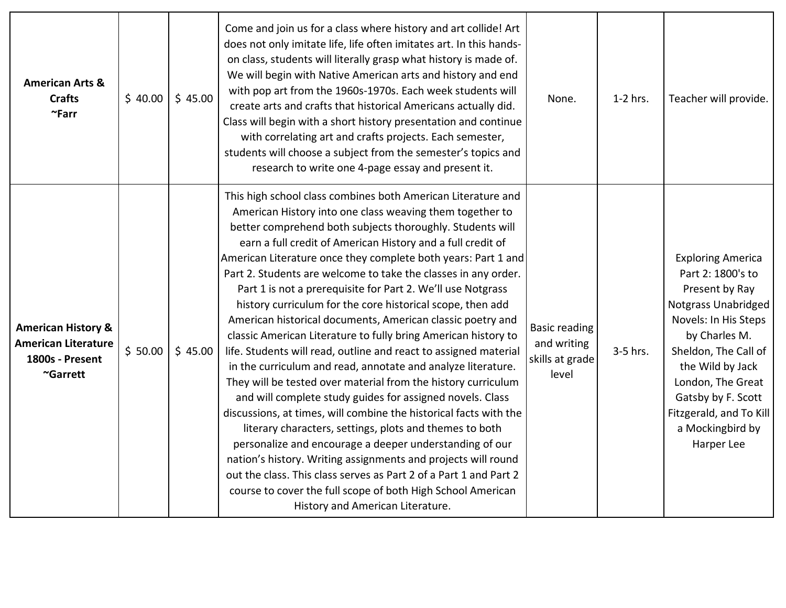| <b>American Arts &amp;</b><br><b>Crafts</b><br>$~\sim$ Farr                                | \$40.00 | \$45.00 | Come and join us for a class where history and art collide! Art<br>does not only imitate life, life often imitates art. In this hands-<br>on class, students will literally grasp what history is made of.<br>We will begin with Native American arts and history and end<br>with pop art from the 1960s-1970s. Each week students will<br>create arts and crafts that historical Americans actually did.<br>Class will begin with a short history presentation and continue<br>with correlating art and crafts projects. Each semester,<br>students will choose a subject from the semester's topics and<br>research to write one 4-page essay and present it.                                                                                                                                                                                                                                                                                                                                                                                                                                                                                                                                                                                                                                                                                            | None.                                                           | $1-2$ hrs. | Teacher will provide.                                                                                                                                                                                                                                                                      |
|--------------------------------------------------------------------------------------------|---------|---------|------------------------------------------------------------------------------------------------------------------------------------------------------------------------------------------------------------------------------------------------------------------------------------------------------------------------------------------------------------------------------------------------------------------------------------------------------------------------------------------------------------------------------------------------------------------------------------------------------------------------------------------------------------------------------------------------------------------------------------------------------------------------------------------------------------------------------------------------------------------------------------------------------------------------------------------------------------------------------------------------------------------------------------------------------------------------------------------------------------------------------------------------------------------------------------------------------------------------------------------------------------------------------------------------------------------------------------------------------------|-----------------------------------------------------------------|------------|--------------------------------------------------------------------------------------------------------------------------------------------------------------------------------------------------------------------------------------------------------------------------------------------|
| <b>American History &amp;</b><br><b>American Literature</b><br>1800s - Present<br>~Garrett | \$50.00 | \$45.00 | This high school class combines both American Literature and<br>American History into one class weaving them together to<br>better comprehend both subjects thoroughly. Students will<br>earn a full credit of American History and a full credit of<br>American Literature once they complete both years: Part 1 and<br>Part 2. Students are welcome to take the classes in any order.<br>Part 1 is not a prerequisite for Part 2. We'll use Notgrass<br>history curriculum for the core historical scope, then add<br>American historical documents, American classic poetry and<br>classic American Literature to fully bring American history to<br>life. Students will read, outline and react to assigned material<br>in the curriculum and read, annotate and analyze literature.<br>They will be tested over material from the history curriculum<br>and will complete study guides for assigned novels. Class<br>discussions, at times, will combine the historical facts with the<br>literary characters, settings, plots and themes to both<br>personalize and encourage a deeper understanding of our<br>nation's history. Writing assignments and projects will round<br>out the class. This class serves as Part 2 of a Part 1 and Part 2<br>course to cover the full scope of both High School American<br>History and American Literature. | <b>Basic reading</b><br>and writing<br>skills at grade<br>level | 3-5 hrs.   | <b>Exploring America</b><br>Part 2: 1800's to<br>Present by Ray<br><b>Notgrass Unabridged</b><br>Novels: In His Steps<br>by Charles M.<br>Sheldon, The Call of<br>the Wild by Jack<br>London, The Great<br>Gatsby by F. Scott<br>Fitzgerald, and To Kill<br>a Mockingbird by<br>Harper Lee |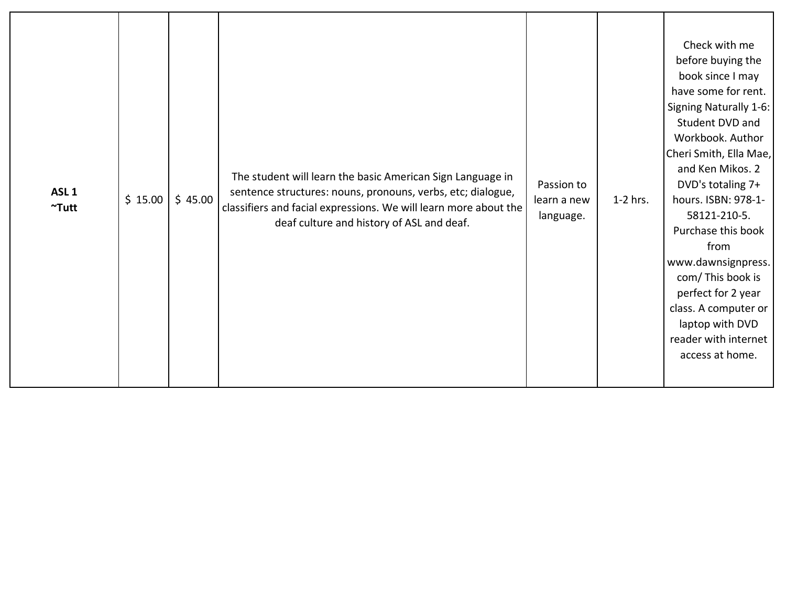| ASL <sub>1</sub><br>$~\tilde{}$ Tutt | \$15.00 | \$45.00 | The student will learn the basic American Sign Language in<br>sentence structures: nouns, pronouns, verbs, etc; dialogue,<br>classifiers and facial expressions. We will learn more about the<br>deaf culture and history of ASL and deaf. | Passion to<br>learn a new<br>language. | 1-2 hrs. | Check with me<br>before buying the<br>book since I may<br>have some for rent.<br>Signing Naturally 1-6:<br>Student DVD and<br>Workbook. Author<br>Cheri Smith, Ella Mae,<br>and Ken Mikos. 2<br>DVD's totaling 7+<br>hours. ISBN: 978-1-<br>58121-210-5.<br>Purchase this book<br>from<br>www.dawnsignpress.<br>com/This book is<br>perfect for 2 year<br>class. A computer or<br>laptop with DVD<br>reader with internet<br>access at home. |
|--------------------------------------|---------|---------|--------------------------------------------------------------------------------------------------------------------------------------------------------------------------------------------------------------------------------------------|----------------------------------------|----------|----------------------------------------------------------------------------------------------------------------------------------------------------------------------------------------------------------------------------------------------------------------------------------------------------------------------------------------------------------------------------------------------------------------------------------------------|
|--------------------------------------|---------|---------|--------------------------------------------------------------------------------------------------------------------------------------------------------------------------------------------------------------------------------------------|----------------------------------------|----------|----------------------------------------------------------------------------------------------------------------------------------------------------------------------------------------------------------------------------------------------------------------------------------------------------------------------------------------------------------------------------------------------------------------------------------------------|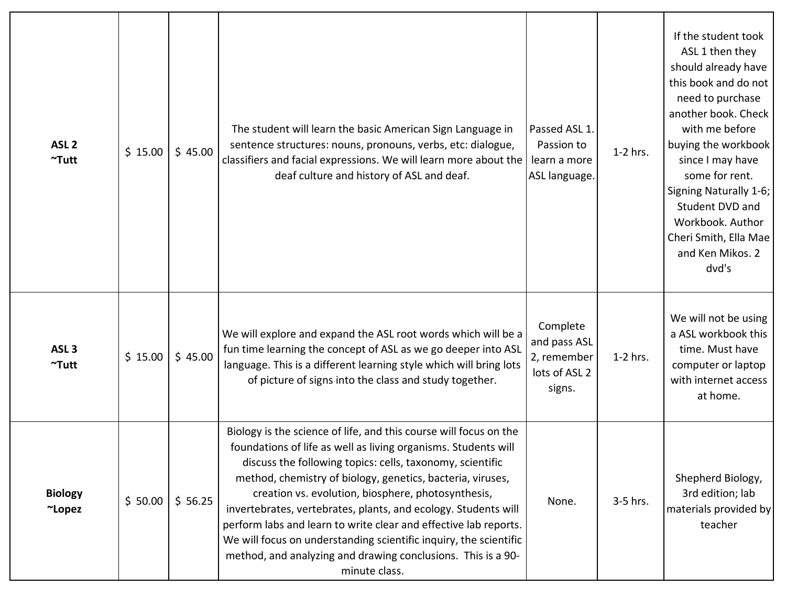| ASL <sub>2</sub><br>$~\tilde{}$ Tutt | \$15.00 | \$45.00 | The student will learn the basic American Sign Language in<br>sentence structures: nouns, pronouns, verbs, etc: dialogue,<br>classifiers and facial expressions. We will learn more about the<br>deaf culture and history of ASL and deaf.                                                                                                                                                                                                                                                                                                                                                                       | Passed ASL 1.<br>Passion to<br>learn a more<br>ASL language.       | 1-2 hrs.   | If the student took<br>ASL 1 then they<br>should already have<br>this book and do not<br>need to purchase<br>another book. Check<br>with me before<br>buying the workbook<br>since I may have<br>some for rent.<br>Signing Naturally 1-6;<br>Student DVD and<br>Workbook. Author<br>Cheri Smith, Ella Mae<br>and Ken Mikos. 2<br>dvd's |
|--------------------------------------|---------|---------|------------------------------------------------------------------------------------------------------------------------------------------------------------------------------------------------------------------------------------------------------------------------------------------------------------------------------------------------------------------------------------------------------------------------------------------------------------------------------------------------------------------------------------------------------------------------------------------------------------------|--------------------------------------------------------------------|------------|----------------------------------------------------------------------------------------------------------------------------------------------------------------------------------------------------------------------------------------------------------------------------------------------------------------------------------------|
| ASL <sub>3</sub><br>$~\gamma$ Tutt   | \$15.00 | \$45.00 | We will explore and expand the ASL root words which will be a<br>fun time learning the concept of ASL as we go deeper into ASL<br>language. This is a different learning style which will bring lots<br>of picture of signs into the class and study together.                                                                                                                                                                                                                                                                                                                                                   | Complete<br>and pass ASL<br>2, remember<br>lots of ASL 2<br>signs. | $1-2$ hrs. | We will not be using<br>a ASL workbook this<br>time. Must have<br>computer or laptop<br>with internet access<br>at home.                                                                                                                                                                                                               |
| <b>Biology</b><br>~Lopez             | \$50.00 | \$56.25 | Biology is the science of life, and this course will focus on the<br>foundations of life as well as living organisms. Students will<br>discuss the following topics: cells, taxonomy, scientific<br>method, chemistry of biology, genetics, bacteria, viruses,<br>creation vs. evolution, biosphere, photosynthesis,<br>invertebrates, vertebrates, plants, and ecology. Students will<br>perform labs and learn to write clear and effective lab reports.<br>We will focus on understanding scientific inquiry, the scientific<br>method, and analyzing and drawing conclusions. This is a 90-<br>minute class. | None.                                                              | 3-5 hrs.   | Shepherd Biology,<br>3rd edition; lab<br>materials provided by<br>teacher                                                                                                                                                                                                                                                              |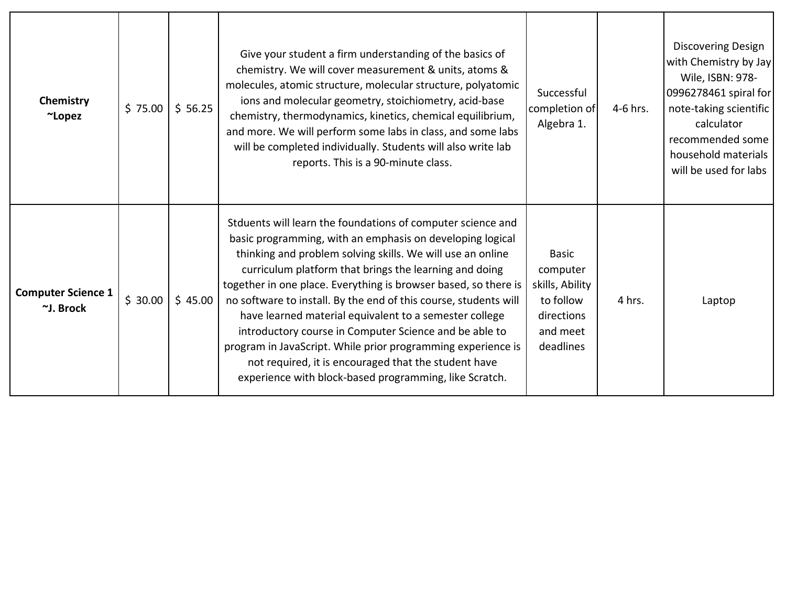| Chemistry<br>~Lopez                    | \$75.00 | \$56.25 | Give your student a firm understanding of the basics of<br>chemistry. We will cover measurement & units, atoms &<br>molecules, atomic structure, molecular structure, polyatomic<br>ions and molecular geometry, stoichiometry, acid-base<br>chemistry, thermodynamics, kinetics, chemical equilibrium,<br>and more. We will perform some labs in class, and some labs<br>will be completed individually. Students will also write lab<br>reports. This is a 90-minute class.                                                                                                                                                                                                                 | Successful<br>completion of<br>Algebra 1.                                                       | 4-6 hrs. | Discovering Design<br>with Chemistry by Jay<br>Wile, ISBN: 978-<br>0996278461 spiral for<br>note-taking scientific<br>calculator<br>recommended some<br>household materials<br>will be used for labs |
|----------------------------------------|---------|---------|-----------------------------------------------------------------------------------------------------------------------------------------------------------------------------------------------------------------------------------------------------------------------------------------------------------------------------------------------------------------------------------------------------------------------------------------------------------------------------------------------------------------------------------------------------------------------------------------------------------------------------------------------------------------------------------------------|-------------------------------------------------------------------------------------------------|----------|------------------------------------------------------------------------------------------------------------------------------------------------------------------------------------------------------|
| <b>Computer Science 1</b><br>~J. Brock | \$30.00 | \$45.00 | Stduents will learn the foundations of computer science and<br>basic programming, with an emphasis on developing logical<br>thinking and problem solving skills. We will use an online<br>curriculum platform that brings the learning and doing<br>together in one place. Everything is browser based, so there is<br>no software to install. By the end of this course, students will<br>have learned material equivalent to a semester college<br>introductory course in Computer Science and be able to<br>program in JavaScript. While prior programming experience is<br>not required, it is encouraged that the student have<br>experience with block-based programming, like Scratch. | <b>Basic</b><br>computer<br>skills, Ability<br>to follow<br>directions<br>and meet<br>deadlines | 4 hrs.   | Laptop                                                                                                                                                                                               |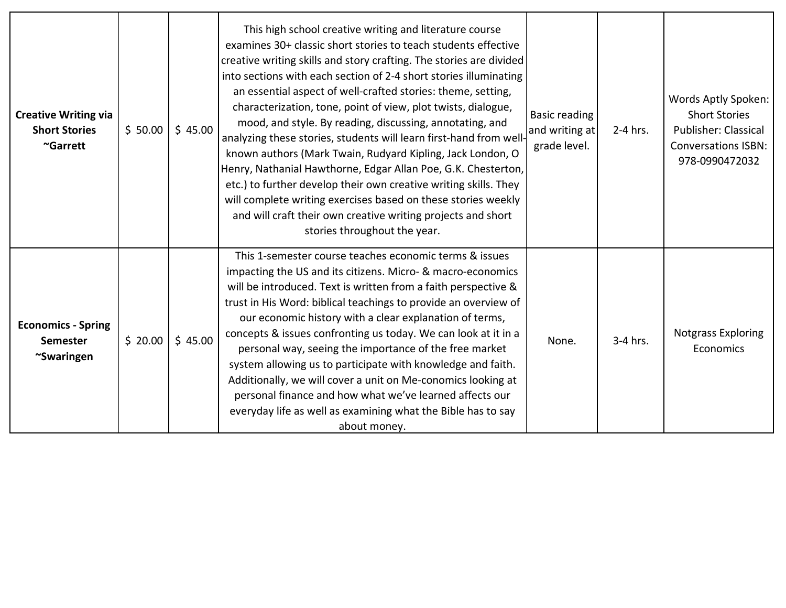| <b>Creative Writing via</b><br><b>Short Stories</b><br>~Garrett | \$50.00 | \$45.00 | This high school creative writing and literature course<br>examines 30+ classic short stories to teach students effective<br>creative writing skills and story crafting. The stories are divided<br>into sections with each section of 2-4 short stories illuminating<br>an essential aspect of well-crafted stories: theme, setting,<br>characterization, tone, point of view, plot twists, dialogue,<br>mood, and style. By reading, discussing, annotating, and<br>analyzing these stories, students will learn first-hand from well-<br>known authors (Mark Twain, Rudyard Kipling, Jack London, O<br>Henry, Nathanial Hawthorne, Edgar Allan Poe, G.K. Chesterton,<br>etc.) to further develop their own creative writing skills. They<br>will complete writing exercises based on these stories weekly<br>and will craft their own creative writing projects and short<br>stories throughout the year. | <b>Basic reading</b><br>and writing at<br>grade level. | 2-4 hrs. | Words Aptly Spoken:<br><b>Short Stories</b><br><b>Publisher: Classical</b><br><b>Conversations ISBN:</b><br>978-0990472032 |
|-----------------------------------------------------------------|---------|---------|--------------------------------------------------------------------------------------------------------------------------------------------------------------------------------------------------------------------------------------------------------------------------------------------------------------------------------------------------------------------------------------------------------------------------------------------------------------------------------------------------------------------------------------------------------------------------------------------------------------------------------------------------------------------------------------------------------------------------------------------------------------------------------------------------------------------------------------------------------------------------------------------------------------|--------------------------------------------------------|----------|----------------------------------------------------------------------------------------------------------------------------|
| <b>Economics - Spring</b><br><b>Semester</b><br>~Swaringen      | \$20.00 | \$45.00 | This 1-semester course teaches economic terms & issues<br>impacting the US and its citizens. Micro- & macro-economics<br>will be introduced. Text is written from a faith perspective &<br>trust in His Word: biblical teachings to provide an overview of<br>our economic history with a clear explanation of terms,<br>concepts & issues confronting us today. We can look at it in a<br>personal way, seeing the importance of the free market<br>system allowing us to participate with knowledge and faith.<br>Additionally, we will cover a unit on Me-conomics looking at<br>personal finance and how what we've learned affects our<br>everyday life as well as examining what the Bible has to say<br>about money.                                                                                                                                                                                  | None.                                                  | 3-4 hrs. | <b>Notgrass Exploring</b><br>Economics                                                                                     |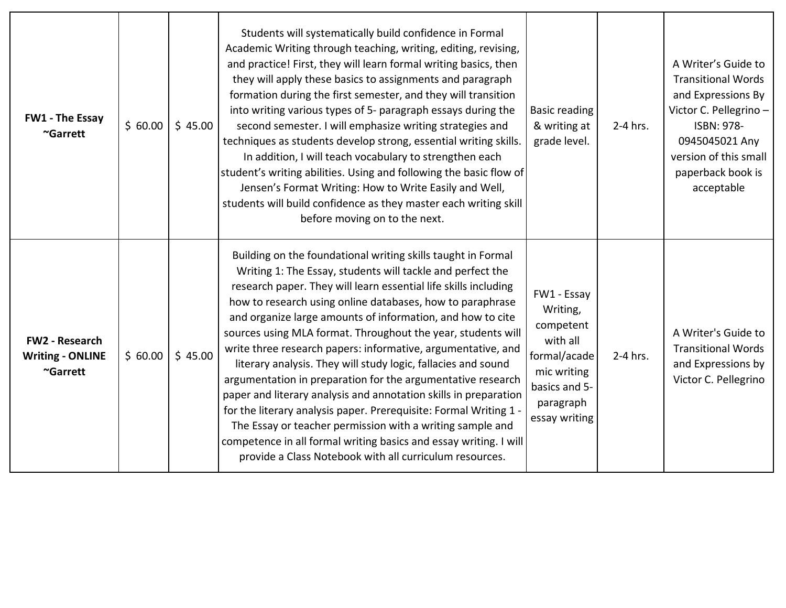| <b>FW1 - The Essay</b><br>~Garrett                           | \$60.00 | \$45.00 | Students will systematically build confidence in Formal<br>Academic Writing through teaching, writing, editing, revising,<br>and practice! First, they will learn formal writing basics, then<br>they will apply these basics to assignments and paragraph<br>formation during the first semester, and they will transition<br>into writing various types of 5- paragraph essays during the<br>second semester. I will emphasize writing strategies and<br>techniques as students develop strong, essential writing skills.<br>In addition, I will teach vocabulary to strengthen each<br>student's writing abilities. Using and following the basic flow of<br>Jensen's Format Writing: How to Write Easily and Well,<br>students will build confidence as they master each writing skill<br>before moving on to the next.                                                                                                    | <b>Basic reading</b><br>& writing at<br>grade level.                                                                           | 2-4 hrs. | A Writer's Guide to<br><b>Transitional Words</b><br>and Expressions By<br>Victor C. Pellegrino-<br>ISBN: 978-<br>0945045021 Any<br>version of this small<br>paperback book is<br>acceptable |
|--------------------------------------------------------------|---------|---------|--------------------------------------------------------------------------------------------------------------------------------------------------------------------------------------------------------------------------------------------------------------------------------------------------------------------------------------------------------------------------------------------------------------------------------------------------------------------------------------------------------------------------------------------------------------------------------------------------------------------------------------------------------------------------------------------------------------------------------------------------------------------------------------------------------------------------------------------------------------------------------------------------------------------------------|--------------------------------------------------------------------------------------------------------------------------------|----------|---------------------------------------------------------------------------------------------------------------------------------------------------------------------------------------------|
| <b>FW2 - Research</b><br><b>Writing - ONLINE</b><br>~Garrett | \$60.00 | \$45.00 | Building on the foundational writing skills taught in Formal<br>Writing 1: The Essay, students will tackle and perfect the<br>research paper. They will learn essential life skills including<br>how to research using online databases, how to paraphrase<br>and organize large amounts of information, and how to cite<br>sources using MLA format. Throughout the year, students will<br>write three research papers: informative, argumentative, and<br>literary analysis. They will study logic, fallacies and sound<br>argumentation in preparation for the argumentative research<br>paper and literary analysis and annotation skills in preparation<br>for the literary analysis paper. Prerequisite: Formal Writing 1 -<br>The Essay or teacher permission with a writing sample and<br>competence in all formal writing basics and essay writing. I will<br>provide a Class Notebook with all curriculum resources. | FW1 - Essay<br>Writing,<br>competent<br>with all<br>formal/acade<br>mic writing<br>basics and 5-<br>paragraph<br>essay writing | 2-4 hrs. | A Writer's Guide to<br><b>Transitional Words</b><br>and Expressions by<br>Victor C. Pellegrino                                                                                              |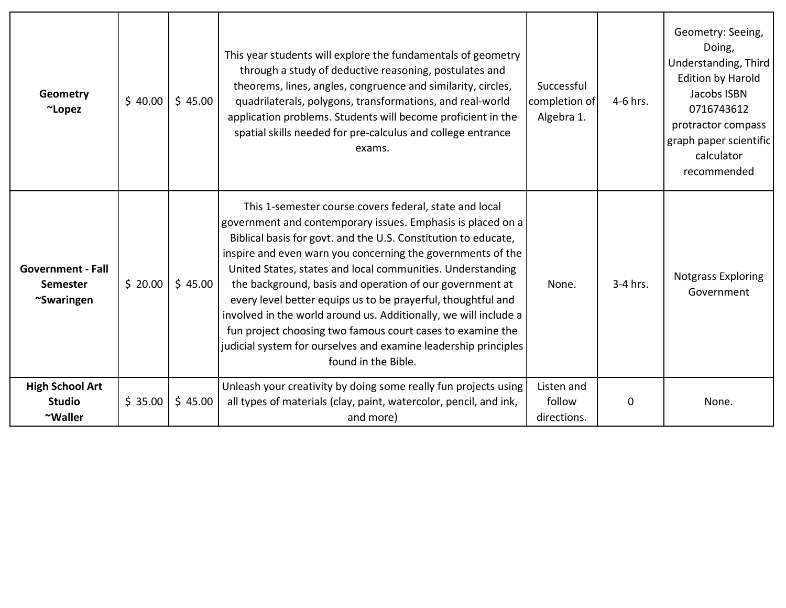| Geometry<br>~Lopez                                        | \$40.00 | \$45.00 | This year students will explore the fundamentals of geometry<br>through a study of deductive reasoning, postulates and<br>theorems, lines, angles, congruence and similarity, circles,<br>quadrilaterals, polygons, transformations, and real-world<br>application problems. Students will become proficient in the<br>spatial skills needed for pre-calculus and college entrance<br>exams.                                                                                                                                                                                                                                                                                 | Successful<br>completion of<br>Algebra 1. | 4-6 hrs. | Geometry: Seeing,<br>Doing,<br>Understanding, Third<br><b>Edition by Harold</b><br>Jacobs ISBN<br>0716743612<br>protractor compass<br>graph paper scientific<br>calculator<br>recommended |
|-----------------------------------------------------------|---------|---------|------------------------------------------------------------------------------------------------------------------------------------------------------------------------------------------------------------------------------------------------------------------------------------------------------------------------------------------------------------------------------------------------------------------------------------------------------------------------------------------------------------------------------------------------------------------------------------------------------------------------------------------------------------------------------|-------------------------------------------|----------|-------------------------------------------------------------------------------------------------------------------------------------------------------------------------------------------|
| <b>Government - Fall</b><br><b>Semester</b><br>~Swaringen | \$20.00 | \$45.00 | This 1-semester course covers federal, state and local<br>government and contemporary issues. Emphasis is placed on a<br>Biblical basis for govt. and the U.S. Constitution to educate,<br>inspire and even warn you concerning the governments of the<br>United States, states and local communities. Understanding<br>the background, basis and operation of our government at<br>every level better equips us to be prayerful, thoughtful and<br>involved in the world around us. Additionally, we will include a<br>fun project choosing two famous court cases to examine the<br>judicial system for ourselves and examine leadership principles<br>found in the Bible. | None.                                     | 3-4 hrs. | Notgrass Exploring<br>Government                                                                                                                                                          |
| <b>High School Art</b><br><b>Studio</b><br>~Waller        | \$35.00 | \$45.00 | Unleash your creativity by doing some really fun projects using<br>all types of materials (clay, paint, watercolor, pencil, and ink,<br>and more)                                                                                                                                                                                                                                                                                                                                                                                                                                                                                                                            | Listen and<br>follow<br>directions.       | 0        | None.                                                                                                                                                                                     |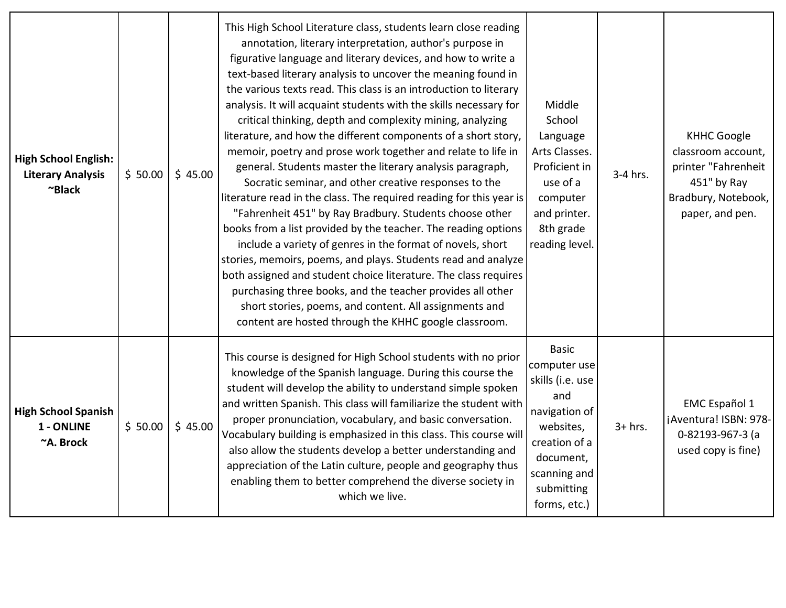| <b>High School English:</b><br><b>Literary Analysis</b><br>~Black | \$50.00 | \$45.00 | This High School Literature class, students learn close reading<br>annotation, literary interpretation, author's purpose in<br>figurative language and literary devices, and how to write a<br>text-based literary analysis to uncover the meaning found in<br>the various texts read. This class is an introduction to literary<br>analysis. It will acquaint students with the skills necessary for<br>critical thinking, depth and complexity mining, analyzing<br>literature, and how the different components of a short story,<br>memoir, poetry and prose work together and relate to life in<br>general. Students master the literary analysis paragraph,<br>Socratic seminar, and other creative responses to the<br>literature read in the class. The required reading for this year is<br>"Fahrenheit 451" by Ray Bradbury. Students choose other<br>books from a list provided by the teacher. The reading options<br>include a variety of genres in the format of novels, short<br>stories, memoirs, poems, and plays. Students read and analyze<br>both assigned and student choice literature. The class requires<br>purchasing three books, and the teacher provides all other<br>short stories, poems, and content. All assignments and<br>content are hosted through the KHHC google classroom. | Middle<br>School<br>Language<br>Arts Classes.<br>Proficient in<br>use of a<br>computer<br>and printer.<br>8th grade<br>reading level.                             | 3-4 hrs.  | <b>KHHC Google</b><br>classroom account,<br>printer "Fahrenheit<br>451" by Ray<br>Bradbury, Notebook,<br>paper, and pen. |
|-------------------------------------------------------------------|---------|---------|-------------------------------------------------------------------------------------------------------------------------------------------------------------------------------------------------------------------------------------------------------------------------------------------------------------------------------------------------------------------------------------------------------------------------------------------------------------------------------------------------------------------------------------------------------------------------------------------------------------------------------------------------------------------------------------------------------------------------------------------------------------------------------------------------------------------------------------------------------------------------------------------------------------------------------------------------------------------------------------------------------------------------------------------------------------------------------------------------------------------------------------------------------------------------------------------------------------------------------------------------------------------------------------------------------------------|-------------------------------------------------------------------------------------------------------------------------------------------------------------------|-----------|--------------------------------------------------------------------------------------------------------------------------|
| <b>High School Spanish</b><br>1 - ONLINE<br>~A. Brock             | \$50.00 | \$45.00 | This course is designed for High School students with no prior<br>knowledge of the Spanish language. During this course the<br>student will develop the ability to understand simple spoken<br>and written Spanish. This class will familiarize the student with<br>proper pronunciation, vocabulary, and basic conversation.<br>Vocabulary building is emphasized in this class. This course will<br>also allow the students develop a better understanding and<br>appreciation of the Latin culture, people and geography thus<br>enabling them to better comprehend the diverse society in<br>which we live.                                                                                                                                                                                                                                                                                                                                                                                                                                                                                                                                                                                                                                                                                                   | <b>Basic</b><br>computer use<br>skills (i.e. use<br>and<br>navigation of<br>websites,<br>creation of a<br>document,<br>scanning and<br>submitting<br>forms, etc.) | $3+$ hrs. | <b>EMC</b> Español 1<br>¡Aventura! ISBN: 978-<br>0-82193-967-3 (a<br>used copy is fine)                                  |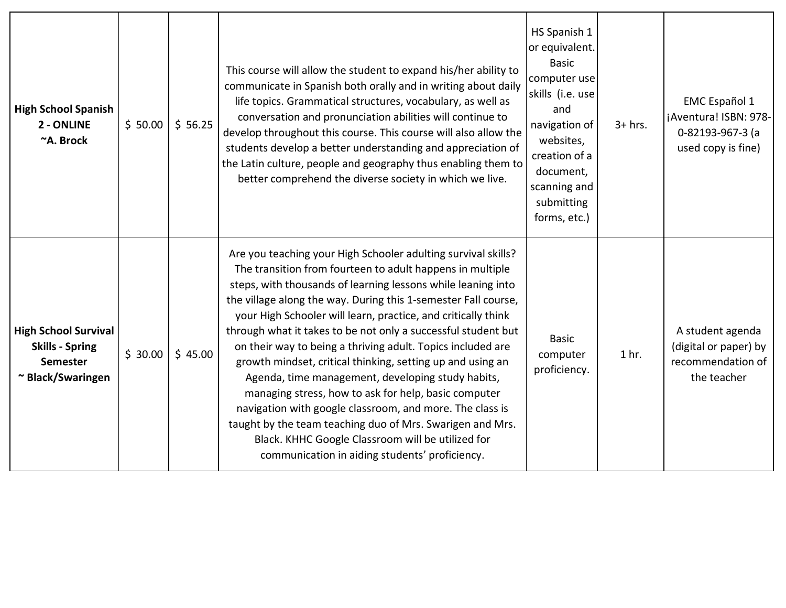| <b>High School Spanish</b><br>2 - ONLINE<br>~A. Brock                                         | \$50.00 | \$56.25 | This course will allow the student to expand his/her ability to<br>communicate in Spanish both orally and in writing about daily<br>life topics. Grammatical structures, vocabulary, as well as<br>conversation and pronunciation abilities will continue to<br>develop throughout this course. This course will also allow the<br>students develop a better understanding and appreciation of<br>the Latin culture, people and geography thus enabling them to<br>better comprehend the diverse society in which we live.                                                                                                                                                                                                                                                                                                                                               | HS Spanish 1<br>or equivalent.<br><b>Basic</b><br>computer use<br>skills (i.e. use<br>and<br>navigation of<br>websites,<br>creation of a<br>document,<br>scanning and<br>submitting<br>forms, etc.) | $3+$ hrs.        | <b>EMC</b> Español 1<br>¡Aventura! ISBN: 978-<br>0-82193-967-3 (a<br>used copy is fine) |
|-----------------------------------------------------------------------------------------------|---------|---------|--------------------------------------------------------------------------------------------------------------------------------------------------------------------------------------------------------------------------------------------------------------------------------------------------------------------------------------------------------------------------------------------------------------------------------------------------------------------------------------------------------------------------------------------------------------------------------------------------------------------------------------------------------------------------------------------------------------------------------------------------------------------------------------------------------------------------------------------------------------------------|-----------------------------------------------------------------------------------------------------------------------------------------------------------------------------------------------------|------------------|-----------------------------------------------------------------------------------------|
| <b>High School Survival</b><br><b>Skills - Spring</b><br><b>Semester</b><br>~ Black/Swaringen | \$30.00 | \$45.00 | Are you teaching your High Schooler adulting survival skills?<br>The transition from fourteen to adult happens in multiple<br>steps, with thousands of learning lessons while leaning into<br>the village along the way. During this 1-semester Fall course,<br>your High Schooler will learn, practice, and critically think<br>through what it takes to be not only a successful student but<br>on their way to being a thriving adult. Topics included are<br>growth mindset, critical thinking, setting up and using an<br>Agenda, time management, developing study habits,<br>managing stress, how to ask for help, basic computer<br>navigation with google classroom, and more. The class is<br>taught by the team teaching duo of Mrs. Swarigen and Mrs.<br>Black. KHHC Google Classroom will be utilized for<br>communication in aiding students' proficiency. | <b>Basic</b><br>computer<br>proficiency.                                                                                                                                                            | 1 <sub>hr.</sub> | A student agenda<br>(digital or paper) by<br>recommendation of<br>the teacher           |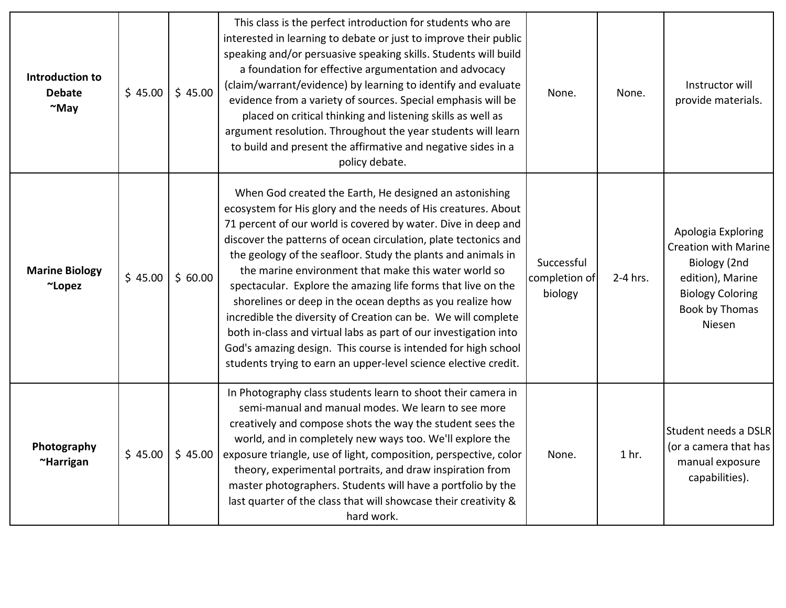| Introduction to<br><b>Debate</b><br>$~\sim$ May | \$45.00 | \$45.00 | This class is the perfect introduction for students who are<br>interested in learning to debate or just to improve their public<br>speaking and/or persuasive speaking skills. Students will build<br>a foundation for effective argumentation and advocacy<br>(claim/warrant/evidence) by learning to identify and evaluate<br>evidence from a variety of sources. Special emphasis will be<br>placed on critical thinking and listening skills as well as<br>argument resolution. Throughout the year students will learn<br>to build and present the affirmative and negative sides in a<br>policy debate.                                                                                                                                                                             | None.                                  | None.            | Instructor will<br>provide materials.                                                                                                        |
|-------------------------------------------------|---------|---------|-------------------------------------------------------------------------------------------------------------------------------------------------------------------------------------------------------------------------------------------------------------------------------------------------------------------------------------------------------------------------------------------------------------------------------------------------------------------------------------------------------------------------------------------------------------------------------------------------------------------------------------------------------------------------------------------------------------------------------------------------------------------------------------------|----------------------------------------|------------------|----------------------------------------------------------------------------------------------------------------------------------------------|
| <b>Marine Biology</b><br>~Lopez                 | \$45.00 | \$60.00 | When God created the Earth, He designed an astonishing<br>ecosystem for His glory and the needs of His creatures. About<br>71 percent of our world is covered by water. Dive in deep and<br>discover the patterns of ocean circulation, plate tectonics and<br>the geology of the seafloor. Study the plants and animals in<br>the marine environment that make this water world so<br>spectacular. Explore the amazing life forms that live on the<br>shorelines or deep in the ocean depths as you realize how<br>incredible the diversity of Creation can be. We will complete<br>both in-class and virtual labs as part of our investigation into<br>God's amazing design. This course is intended for high school<br>students trying to earn an upper-level science elective credit. | Successful<br>completion of<br>biology | 2-4 hrs.         | Apologia Exploring<br><b>Creation with Marine</b><br>Biology (2nd<br>edition), Marine<br><b>Biology Coloring</b><br>Book by Thomas<br>Niesen |
| Photography<br>~Harrigan                        | \$45.00 | \$45.00 | In Photography class students learn to shoot their camera in<br>semi-manual and manual modes. We learn to see more<br>creatively and compose shots the way the student sees the<br>world, and in completely new ways too. We'll explore the<br>exposure triangle, use of light, composition, perspective, color<br>theory, experimental portraits, and draw inspiration from<br>master photographers. Students will have a portfolio by the<br>last quarter of the class that will showcase their creativity &<br>hard work.                                                                                                                                                                                                                                                              | None.                                  | 1 <sub>hr.</sub> | Student needs a DSLR<br>(or a camera that has<br>manual exposure<br>capabilities).                                                           |